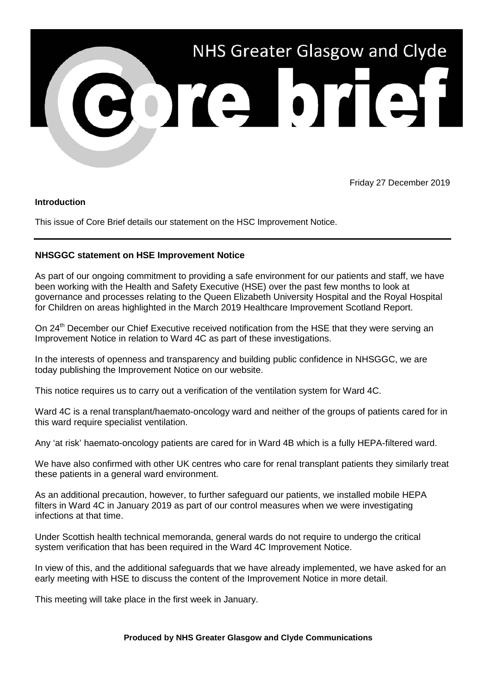

Friday 27 December 2019

## **Introduction**

This issue of Core Brief details our statement on the HSC Improvement Notice.

## **NHSGGC statement on HSE Improvement Notice**

As part of our ongoing commitment to providing a safe environment for our patients and staff, we have been working with the Health and Safety Executive (HSE) over the past few months to look at governance and processes relating to the Queen Elizabeth University Hospital and the Royal Hospital for Children on areas highlighted in the March 2019 Healthcare Improvement Scotland Report.

On 24<sup>th</sup> December our Chief Executive received notification from the HSE that they were serving an Improvement Notice in relation to Ward 4C as part of these investigations.

In the interests of openness and transparency and building public confidence in NHSGGC, we are today publishing the Improvement Notice on our website.

This notice requires us to carry out a verification of the ventilation system for Ward 4C.

Ward 4C is a renal transplant/haemato-oncology ward and neither of the groups of patients cared for in this ward require specialist ventilation.

Any 'at risk' haemato-oncology patients are cared for in Ward 4B which is a fully HEPA-filtered ward.

We have also confirmed with other UK centres who care for renal transplant patients they similarly treat these patients in a general ward environment.

As an additional precaution, however, to further safeguard our patients, we installed mobile HEPA filters in Ward 4C in January 2019 as part of our control measures when we were investigating infections at that time.

Under Scottish health technical memoranda, general wards do not require to undergo the critical system verification that has been required in the Ward 4C Improvement Notice.

In view of this, and the additional safeguards that we have already implemented, we have asked for an early meeting with HSE to discuss the content of the Improvement Notice in more detail.

This meeting will take place in the first week in January.

## **Produced by NHS Greater Glasgow and Clyde Communications**